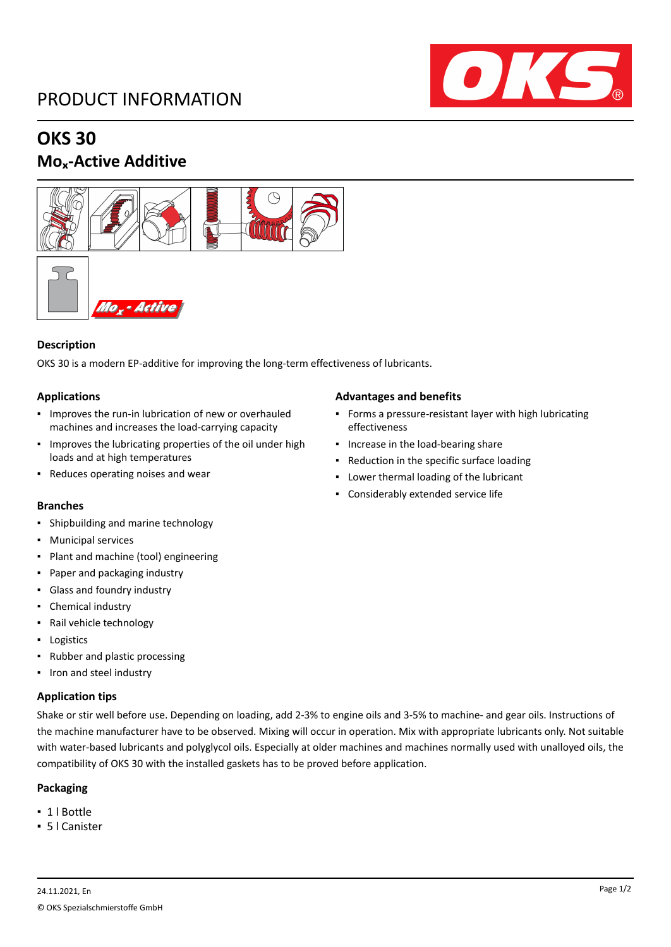## PRODUCT INFORMATION



## **OKS 30**

### **Moₓ-Active Additive**





#### **Description**

OKS 30 is a modern EP-additive for improving the long-term effectiveness of lubricants.

#### **Applications**

- Improves the run-in lubrication of new or overhauled machines and increases the load-carrying capacity
- Improves the lubricating properties of the oil under high loads and at high temperatures
- Reduces operating noises and wear

#### **Branches**

- Shipbuilding and marine technology
- Municipal services
- Plant and machine (tool) engineering
- Paper and packaging industry
- Glass and foundry industry
- Chemical industry
- Rail vehicle technology
- Logistics
- Rubber and plastic processing
- Iron and steel industry

#### **Application tips**

Shake or stir well before use. Depending on loading, add 2-3% to engine oils and 3-5% to machine- and gear oils. Instructions of the machine manufacturer have to be observed. Mixing will occur in operation. Mix with appropriate lubricants only. Not suitable with water-based lubricants and polyglycol oils. Especially at older machines and machines normally used with unalloyed oils, the compatibility of OKS 30 with the installed gaskets has to be proved before application.

#### **Packaging**

- 1 l Bottle
- 5 l Canister

#### **Advantages and benefits**

- Forms a pressure-resistant layer with high lubricating effectiveness
- **·** Increase in the load-bearing share
- Reduction in the specific surface loading
- Lower thermal loading of the lubricant
- Considerably extended service life